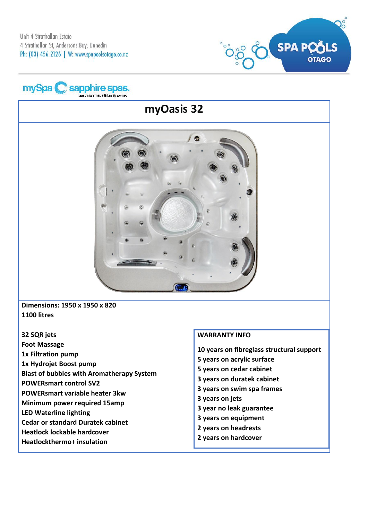



# **myOasis 32**



**Dimensions: 1950 x 1950 x 820 1100 litres**

- **32 SQR jets**
- **Foot Massage**
- **1x Filtration pump**
- **1x Hydrojet Boost pump**
- **Blast of bubbles with Aromatherapy System**
- **POWERsmart control SV2**
- **POWERsmart variable heater 3kw**
- **Minimum power required 15amp**
- **LED Waterline lighting**
- **Cedar or standard Duratek cabinet**
- **Heatlock lockable hardcover**
- **Heatlockthermo+ insulation**

### **WARRANTY INFO**

**10 years on fibreglass structural support**

- **5 years on acrylic surface**
- **5 years on cedar cabinet**
- **3 years on duratek cabinet**
- **3 years on swim spa frames**
- **3 years on jets**
- **3 year no leak guarantee**
- **3 years on equipment**
- **2 years on headrests**
- **2 years on hardcover**